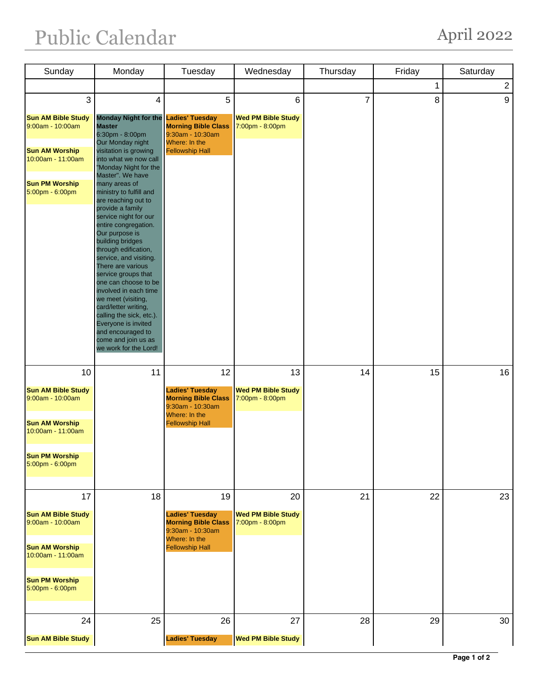## Public Calendar April 2022

| Sunday                                                              | Monday                                                                                                                                                                                                                                                                                                                                                                                                                  | Tuesday                                                                                            | Wednesday                                          | Thursday       | Friday | Saturday       |
|---------------------------------------------------------------------|-------------------------------------------------------------------------------------------------------------------------------------------------------------------------------------------------------------------------------------------------------------------------------------------------------------------------------------------------------------------------------------------------------------------------|----------------------------------------------------------------------------------------------------|----------------------------------------------------|----------------|--------|----------------|
|                                                                     |                                                                                                                                                                                                                                                                                                                                                                                                                         |                                                                                                    |                                                    |                | 1      | $\overline{2}$ |
| 3                                                                   | $\overline{4}$                                                                                                                                                                                                                                                                                                                                                                                                          | 5                                                                                                  | $6\phantom{a}$                                     | $\overline{7}$ | 8      | 9              |
| <b>Sun AM Bible Study</b><br>9:00am - 10:00am                       | Monday Night for the Ladies' Tuesday<br><b>Master</b><br>6:30pm - 8:00pm                                                                                                                                                                                                                                                                                                                                                | <b>Morning Bible Class</b><br>9:30am - 10:30am                                                     | <b>Wed PM Bible Study</b><br>7:00pm - 8:00pm       |                |        |                |
| <b>Sun AM Worship</b><br>10:00am - 11:00am                          | Our Monday night<br>visitation is growing<br>into what we now call<br>"Monday Night for the                                                                                                                                                                                                                                                                                                                             | Where: In the<br><b>Fellowship Hall</b>                                                            |                                                    |                |        |                |
| <b>Sun PM Worship</b><br>5:00pm - 6:00pm                            | Master". We have<br>many areas of<br>ministry to fulfill and<br>are reaching out to<br>provide a family<br>service night for our<br>entire congregation.<br>Our purpose is<br>building bridges<br>through edification,<br>service, and visiting.<br>There are various<br>service groups that<br>one can choose to be<br>involved in each time<br>we meet (visiting,<br>card/letter writing,<br>calling the sick, etc.). |                                                                                                    |                                                    |                |        |                |
|                                                                     | Everyone is invited<br>and encouraged to<br>come and join us as<br>we work for the Lord!                                                                                                                                                                                                                                                                                                                                |                                                                                                    |                                                    |                |        |                |
| 10<br><b>Sun AM Bible Study</b><br>9:00am - 10:00am                 | 11                                                                                                                                                                                                                                                                                                                                                                                                                      | 12<br><b>Ladies' Tuesday</b><br><b>Morning Bible Class</b><br>$9:30$ am - 10:30am<br>Where: In the | 13<br><b>Wed PM Bible Study</b><br>7:00pm - 8:00pm | 14             | 15     | 16             |
| <b>Sun AM Worship</b><br>10:00am - 11:00am<br><b>Sun PM Worship</b> | <b>Fellowship Hall</b>                                                                                                                                                                                                                                                                                                                                                                                                  |                                                                                                    |                                                    |                |        |                |
| 5:00pm - 6:00pm                                                     |                                                                                                                                                                                                                                                                                                                                                                                                                         |                                                                                                    |                                                    |                |        |                |
| 17<br><b>Sun AM Bible Study</b><br>9:00am - 10:00am                 | 18                                                                                                                                                                                                                                                                                                                                                                                                                      | 19<br><b>Ladies' Tuesday</b><br><b>Morning Bible Class</b><br>9:30am - 10:30am<br>Where: In the    | 20<br><b>Wed PM Bible Study</b><br>7:00pm - 8:00pm | 21             | 22     | 23             |
| <b>Sun AM Worship</b><br>10:00am - 11:00am<br><b>Sun PM Worship</b> |                                                                                                                                                                                                                                                                                                                                                                                                                         | <b>Fellowship Hall</b>                                                                             |                                                    |                |        |                |
| 5:00pm - 6:00pm                                                     |                                                                                                                                                                                                                                                                                                                                                                                                                         |                                                                                                    |                                                    |                |        |                |
| 24                                                                  | 25                                                                                                                                                                                                                                                                                                                                                                                                                      | 26                                                                                                 | 27                                                 | 28             | 29     | 30             |
| <b>Sun AM Bible Study</b>                                           |                                                                                                                                                                                                                                                                                                                                                                                                                         | <b>Ladies' Tuesday</b>                                                                             | <b>Wed PM Bible Study</b>                          |                |        |                |